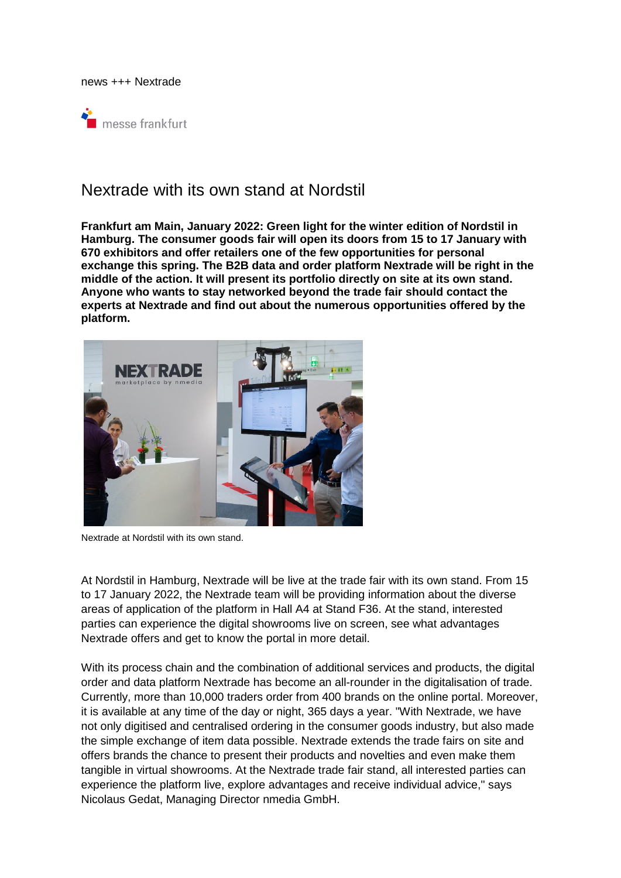news +++ Nextrade



# Nextrade with its own stand at Nordstil

**Frankfurt am Main, January 2022: Green light for the winter edition of Nordstil in Hamburg. The consumer goods fair will open its doors from 15 to 17 January with 670 exhibitors and offer retailers one of the few opportunities for personal exchange this spring. The B2B data and order platform Nextrade will be right in the middle of the action. It will present its portfolio directly on site at its own stand. Anyone who wants to stay networked beyond the trade fair should contact the experts at Nextrade and find out about the numerous opportunities offered by the platform.** 



Nextrade at Nordstil with its own stand.

At Nordstil in Hamburg, Nextrade will be live at the trade fair with its own stand. From 15 to 17 January 2022, the Nextrade team will be providing information about the diverse areas of application of the platform in Hall A4 at Stand F36. At the stand, interested parties can experience the digital showrooms live on screen, see what advantages Nextrade offers and get to know the portal in more detail.

With its process chain and the combination of additional services and products, the digital order and data platform Nextrade has become an all-rounder in the digitalisation of trade. Currently, more than 10,000 traders order from 400 brands on the online portal. Moreover, it is available at any time of the day or night, 365 days a year. "With Nextrade, we have not only digitised and centralised ordering in the consumer goods industry, but also made the simple exchange of item data possible. Nextrade extends the trade fairs on site and offers brands the chance to present their products and novelties and even make them tangible in virtual showrooms. At the Nextrade trade fair stand, all interested parties can experience the platform live, explore advantages and receive individual advice," says Nicolaus Gedat, Managing Director nmedia GmbH.